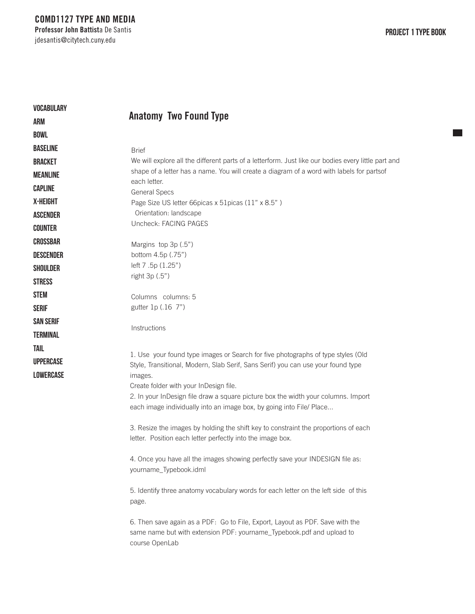$\mathcal{L}_{\mathcal{A}}$ 

| <b>VOCABULARY</b> | <b>Anatomy Two Found Type</b>                                                                                                                                            |
|-------------------|--------------------------------------------------------------------------------------------------------------------------------------------------------------------------|
| ARM               |                                                                                                                                                                          |
| <b>BOWL</b>       |                                                                                                                                                                          |
| <b>BASELINE</b>   | <b>Brief</b>                                                                                                                                                             |
| <b>BRACKET</b>    | We will explore all the different parts of a letterform. Just like our bodies every little part and                                                                      |
| <b>MEANLINE</b>   | shape of a letter has a name. You will create a diagram of a word with labels for partsof                                                                                |
| <b>CAPLINE</b>    | each letter.<br><b>General Specs</b>                                                                                                                                     |
| X-HEIGHT          | Page Size US letter 66picas x 51picas (11" x 8.5")                                                                                                                       |
| <b>ASCENDER</b>   | Orientation: landscape                                                                                                                                                   |
| <b>COUNTER</b>    | Uncheck: FACING PAGES                                                                                                                                                    |
| <b>CROSSBAR</b>   | Margins top 3p (.5")                                                                                                                                                     |
| <b>DESCENDER</b>  | bottom 4.5p (.75")                                                                                                                                                       |
| <b>SHOULDER</b>   | left 7.5p (1.25")                                                                                                                                                        |
| <b>STRESS</b>     | right 3p (.5")                                                                                                                                                           |
| <b>STEM</b>       | Columns columns: 5                                                                                                                                                       |
| <b>SERIF</b>      | gutter 1p (.16 7")                                                                                                                                                       |
| <b>SAN SERIF</b>  |                                                                                                                                                                          |
| <b>TERMINAL</b>   | Instructions                                                                                                                                                             |
|                   |                                                                                                                                                                          |
| TAIL              | 1. Use your found type images or Search for five photographs of type styles (Old                                                                                         |
| <b>UPPERCASE</b>  | Style, Transitional, Modern, Slab Serif, Sans Serif) you can use your found type                                                                                         |
| <b>LOWERCASE</b>  | images.                                                                                                                                                                  |
|                   | Create folder with your InDesign file.                                                                                                                                   |
|                   | 2. In your InDesign file draw a square picture box the width your columns. Import<br>each image individually into an image box, by going into File/ Place                |
|                   | 3. Resize the images by holding the shift key to constraint the proportions of each<br>letter. Position each letter perfectly into the image box.                        |
|                   | 4. Once you have all the images showing perfectly save your INDESIGN file as:<br>yourname_Typebook.idml                                                                  |
|                   | 5. Identify three anatomy vocabulary words for each letter on the left side of this<br>page.                                                                             |
|                   | 6. Then save again as a PDF: Go to File, Export, Layout as PDF. Save with the<br>same name but with extension PDF: yourname_Typebook.pdf and upload to<br>course OpenLab |